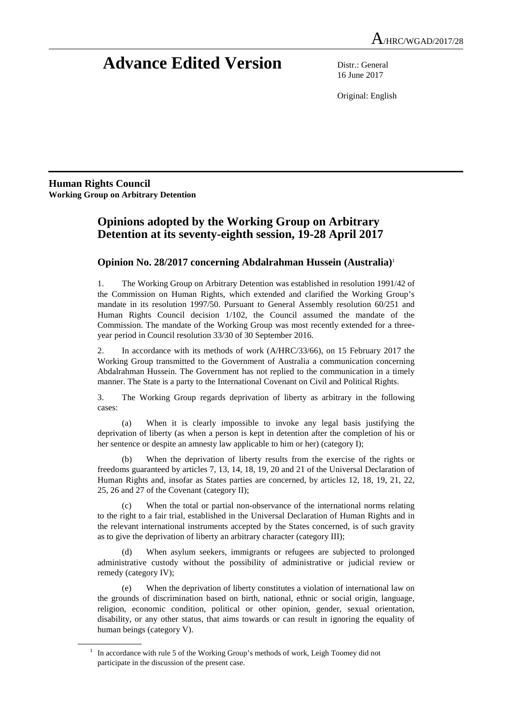# **Advance Edited Version** Distr.: General

16 June 2017

Original: English

**Human Rights Council Working Group on Arbitrary Detention** 

 $\overline{a}$ 

## **Opinions adopted by the Working Group on Arbitrary Detention at its seventy-eighth session, 19-28 April 2017**

### **Opinion No. 28/2017 concerning Abdalrahman Hussein (Australia)**<sup>1</sup>

1. The Working Group on Arbitrary Detention was established in resolution 1991/42 of the Commission on Human Rights, which extended and clarified the Working Group's mandate in its resolution 1997/50. Pursuant to General Assembly resolution 60/251 and Human Rights Council decision 1/102, the Council assumed the mandate of the Commission. The mandate of the Working Group was most recently extended for a threeyear period in Council resolution 33/30 of 30 September 2016.

2. In accordance with its methods of work (A/HRC/33/66), on 15 February 2017 the Working Group transmitted to the Government of Australia a communication concerning Abdalrahman Hussein. The Government has not replied to the communication in a timely manner. The State is a party to the International Covenant on Civil and Political Rights.

3. The Working Group regards deprivation of liberty as arbitrary in the following cases:

 (a) When it is clearly impossible to invoke any legal basis justifying the deprivation of liberty (as when a person is kept in detention after the completion of his or her sentence or despite an amnesty law applicable to him or her) (category I);

 (b) When the deprivation of liberty results from the exercise of the rights or freedoms guaranteed by articles 7, 13, 14, 18, 19, 20 and 21 of the Universal Declaration of Human Rights and, insofar as States parties are concerned, by articles 12, 18, 19, 21, 22, 25, 26 and 27 of the Covenant (category II);

 (c) When the total or partial non-observance of the international norms relating to the right to a fair trial, established in the Universal Declaration of Human Rights and in the relevant international instruments accepted by the States concerned, is of such gravity as to give the deprivation of liberty an arbitrary character (category III);

When asylum seekers, immigrants or refugees are subjected to prolonged administrative custody without the possibility of administrative or judicial review or remedy (category IV);

 (e) When the deprivation of liberty constitutes a violation of international law on the grounds of discrimination based on birth, national, ethnic or social origin, language, religion, economic condition, political or other opinion, gender, sexual orientation, disability, or any other status, that aims towards or can result in ignoring the equality of human beings (category V).

<sup>1</sup> In accordance with rule 5 of the Working Group's methods of work, Leigh Toomey did not participate in the discussion of the present case.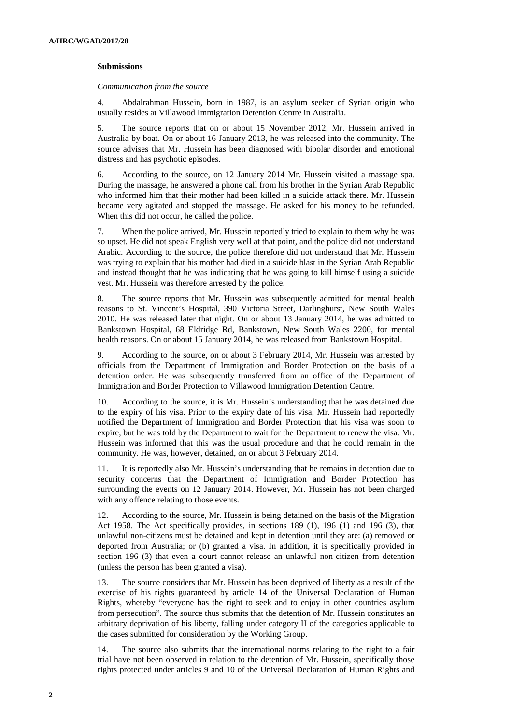#### **Submissions**

 *Communication from the source* 

4. Abdalrahman Hussein, born in 1987, is an asylum seeker of Syrian origin who usually resides at Villawood Immigration Detention Centre in Australia.

5. The source reports that on or about 15 November 2012, Mr. Hussein arrived in Australia by boat. On or about 16 January 2013, he was released into the community. The source advises that Mr. Hussein has been diagnosed with bipolar disorder and emotional distress and has psychotic episodes.

6. According to the source, on 12 January 2014 Mr. Hussein visited a massage spa. During the massage, he answered a phone call from his brother in the Syrian Arab Republic who informed him that their mother had been killed in a suicide attack there. Mr. Hussein became very agitated and stopped the massage. He asked for his money to be refunded. When this did not occur, he called the police.

7. When the police arrived, Mr. Hussein reportedly tried to explain to them why he was so upset. He did not speak English very well at that point, and the police did not understand Arabic. According to the source, the police therefore did not understand that Mr. Hussein was trying to explain that his mother had died in a suicide blast in the Syrian Arab Republic and instead thought that he was indicating that he was going to kill himself using a suicide vest. Mr. Hussein was therefore arrested by the police.

8. The source reports that Mr. Hussein was subsequently admitted for mental health reasons to St. Vincent's Hospital, 390 Victoria Street, Darlinghurst, New South Wales 2010. He was released later that night. On or about 13 January 2014, he was admitted to Bankstown Hospital, 68 Eldridge Rd, Bankstown, New South Wales 2200, for mental health reasons. On or about 15 January 2014, he was released from Bankstown Hospital.

9. According to the source, on or about 3 February 2014, Mr. Hussein was arrested by officials from the Department of Immigration and Border Protection on the basis of a detention order. He was subsequently transferred from an office of the Department of Immigration and Border Protection to Villawood Immigration Detention Centre.

10. According to the source, it is Mr. Hussein's understanding that he was detained due to the expiry of his visa. Prior to the expiry date of his visa, Mr. Hussein had reportedly notified the Department of Immigration and Border Protection that his visa was soon to expire, but he was told by the Department to wait for the Department to renew the visa. Mr. Hussein was informed that this was the usual procedure and that he could remain in the community. He was, however, detained, on or about 3 February 2014.

11. It is reportedly also Mr. Hussein's understanding that he remains in detention due to security concerns that the Department of Immigration and Border Protection has surrounding the events on 12 January 2014. However, Mr. Hussein has not been charged with any offence relating to those events.

12. According to the source, Mr. Hussein is being detained on the basis of the Migration Act 1958. The Act specifically provides, in sections 189 (1), 196 (1) and 196 (3), that unlawful non-citizens must be detained and kept in detention until they are: (a) removed or deported from Australia; or (b) granted a visa. In addition, it is specifically provided in section 196 (3) that even a court cannot release an unlawful non-citizen from detention (unless the person has been granted a visa).

13. The source considers that Mr. Hussein has been deprived of liberty as a result of the exercise of his rights guaranteed by article 14 of the Universal Declaration of Human Rights, whereby "everyone has the right to seek and to enjoy in other countries asylum from persecution". The source thus submits that the detention of Mr. Hussein constitutes an arbitrary deprivation of his liberty, falling under category II of the categories applicable to the cases submitted for consideration by the Working Group.

14. The source also submits that the international norms relating to the right to a fair trial have not been observed in relation to the detention of Mr. Hussein, specifically those rights protected under articles 9 and 10 of the Universal Declaration of Human Rights and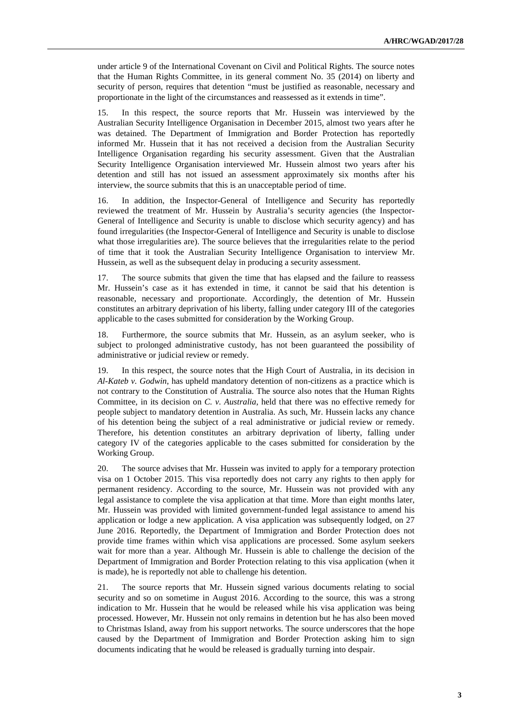under article 9 of the International Covenant on Civil and Political Rights. The source notes that the Human Rights Committee, in its general comment No. 35 (2014) on liberty and security of person, requires that detention "must be justified as reasonable, necessary and proportionate in the light of the circumstances and reassessed as it extends in time".

15. In this respect, the source reports that Mr. Hussein was interviewed by the Australian Security Intelligence Organisation in December 2015, almost two years after he was detained. The Department of Immigration and Border Protection has reportedly informed Mr. Hussein that it has not received a decision from the Australian Security Intelligence Organisation regarding his security assessment. Given that the Australian Security Intelligence Organisation interviewed Mr. Hussein almost two years after his detention and still has not issued an assessment approximately six months after his interview, the source submits that this is an unacceptable period of time.

16. In addition, the Inspector-General of Intelligence and Security has reportedly reviewed the treatment of Mr. Hussein by Australia's security agencies (the Inspector-General of Intelligence and Security is unable to disclose which security agency) and has found irregularities (the Inspector-General of Intelligence and Security is unable to disclose what those irregularities are). The source believes that the irregularities relate to the period of time that it took the Australian Security Intelligence Organisation to interview Mr. Hussein, as well as the subsequent delay in producing a security assessment.

17. The source submits that given the time that has elapsed and the failure to reassess Mr. Hussein's case as it has extended in time, it cannot be said that his detention is reasonable, necessary and proportionate. Accordingly, the detention of Mr. Hussein constitutes an arbitrary deprivation of his liberty, falling under category III of the categories applicable to the cases submitted for consideration by the Working Group.

18. Furthermore, the source submits that Mr. Hussein, as an asylum seeker, who is subject to prolonged administrative custody, has not been guaranteed the possibility of administrative or judicial review or remedy.

19. In this respect, the source notes that the High Court of Australia, in its decision in *Al-Kateb v. Godwin*, has upheld mandatory detention of non-citizens as a practice which is not contrary to the Constitution of Australia. The source also notes that the Human Rights Committee, in its decision on *C. v. Australia*, held that there was no effective remedy for people subject to mandatory detention in Australia. As such, Mr. Hussein lacks any chance of his detention being the subject of a real administrative or judicial review or remedy. Therefore, his detention constitutes an arbitrary deprivation of liberty, falling under category IV of the categories applicable to the cases submitted for consideration by the Working Group.

20. The source advises that Mr. Hussein was invited to apply for a temporary protection visa on 1 October 2015. This visa reportedly does not carry any rights to then apply for permanent residency. According to the source, Mr. Hussein was not provided with any legal assistance to complete the visa application at that time. More than eight months later, Mr. Hussein was provided with limited government-funded legal assistance to amend his application or lodge a new application. A visa application was subsequently lodged, on 27 June 2016. Reportedly, the Department of Immigration and Border Protection does not provide time frames within which visa applications are processed. Some asylum seekers wait for more than a year. Although Mr. Hussein is able to challenge the decision of the Department of Immigration and Border Protection relating to this visa application (when it is made), he is reportedly not able to challenge his detention.

21. The source reports that Mr. Hussein signed various documents relating to social security and so on sometime in August 2016. According to the source, this was a strong indication to Mr. Hussein that he would be released while his visa application was being processed. However, Mr. Hussein not only remains in detention but he has also been moved to Christmas Island, away from his support networks. The source underscores that the hope caused by the Department of Immigration and Border Protection asking him to sign documents indicating that he would be released is gradually turning into despair.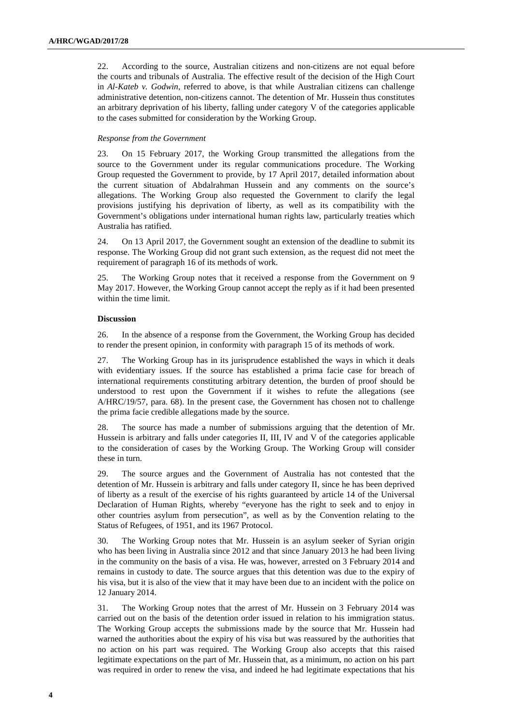22. According to the source, Australian citizens and non-citizens are not equal before the courts and tribunals of Australia. The effective result of the decision of the High Court in *Al-Kateb v. Godwin*, referred to above, is that while Australian citizens can challenge administrative detention, non-citizens cannot. The detention of Mr. Hussein thus constitutes an arbitrary deprivation of his liberty, falling under category V of the categories applicable to the cases submitted for consideration by the Working Group.

#### *Response from the Government*

23. On 15 February 2017, the Working Group transmitted the allegations from the source to the Government under its regular communications procedure. The Working Group requested the Government to provide, by 17 April 2017, detailed information about the current situation of Abdalrahman Hussein and any comments on the source's allegations. The Working Group also requested the Government to clarify the legal provisions justifying his deprivation of liberty, as well as its compatibility with the Government's obligations under international human rights law, particularly treaties which Australia has ratified.

24. On 13 April 2017, the Government sought an extension of the deadline to submit its response. The Working Group did not grant such extension, as the request did not meet the requirement of paragraph 16 of its methods of work.

25. The Working Group notes that it received a response from the Government on 9 May 2017. However, the Working Group cannot accept the reply as if it had been presented within the time limit.

#### **Discussion**

26. In the absence of a response from the Government, the Working Group has decided to render the present opinion, in conformity with paragraph 15 of its methods of work.

27. The Working Group has in its jurisprudence established the ways in which it deals with evidentiary issues. If the source has established a prima facie case for breach of international requirements constituting arbitrary detention, the burden of proof should be understood to rest upon the Government if it wishes to refute the allegations (see A/HRC/19/57, para. 68). In the present case, the Government has chosen not to challenge the prima facie credible allegations made by the source.

28. The source has made a number of submissions arguing that the detention of Mr. Hussein is arbitrary and falls under categories II, III, IV and V of the categories applicable to the consideration of cases by the Working Group. The Working Group will consider these in turn.

29. The source argues and the Government of Australia has not contested that the detention of Mr. Hussein is arbitrary and falls under category II, since he has been deprived of liberty as a result of the exercise of his rights guaranteed by article 14 of the Universal Declaration of Human Rights, whereby "everyone has the right to seek and to enjoy in other countries asylum from persecution", as well as by the Convention relating to the Status of Refugees, of 1951, and its 1967 Protocol.

30. The Working Group notes that Mr. Hussein is an asylum seeker of Syrian origin who has been living in Australia since 2012 and that since January 2013 he had been living in the community on the basis of a visa. He was, however, arrested on 3 February 2014 and remains in custody to date. The source argues that this detention was due to the expiry of his visa, but it is also of the view that it may have been due to an incident with the police on 12 January 2014.

31. The Working Group notes that the arrest of Mr. Hussein on 3 February 2014 was carried out on the basis of the detention order issued in relation to his immigration status. The Working Group accepts the submissions made by the source that Mr. Hussein had warned the authorities about the expiry of his visa but was reassured by the authorities that no action on his part was required. The Working Group also accepts that this raised legitimate expectations on the part of Mr. Hussein that, as a minimum, no action on his part was required in order to renew the visa, and indeed he had legitimate expectations that his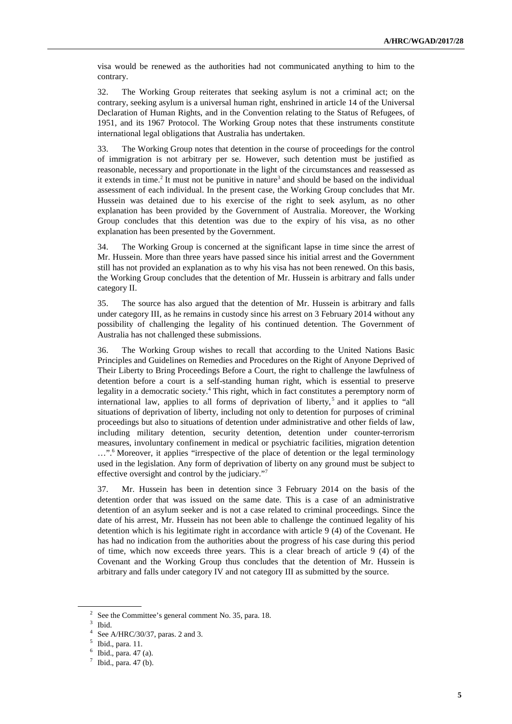visa would be renewed as the authorities had not communicated anything to him to the contrary.

32. The Working Group reiterates that seeking asylum is not a criminal act; on the contrary, seeking asylum is a universal human right, enshrined in article 14 of the Universal Declaration of Human Rights, and in the Convention relating to the Status of Refugees, of 1951, and its 1967 Protocol. The Working Group notes that these instruments constitute international legal obligations that Australia has undertaken.

33. The Working Group notes that detention in the course of proceedings for the control of immigration is not arbitrary per se. However, such detention must be justified as reasonable, necessary and proportionate in the light of the circumstances and reassessed as it extends in time.<sup>2</sup> It must not be punitive in nature<sup>3</sup> and should be based on the individual assessment of each individual. In the present case, the Working Group concludes that Mr. Hussein was detained due to his exercise of the right to seek asylum, as no other explanation has been provided by the Government of Australia. Moreover, the Working Group concludes that this detention was due to the expiry of his visa, as no other explanation has been presented by the Government.

34. The Working Group is concerned at the significant lapse in time since the arrest of Mr. Hussein. More than three years have passed since his initial arrest and the Government still has not provided an explanation as to why his visa has not been renewed. On this basis, the Working Group concludes that the detention of Mr. Hussein is arbitrary and falls under category II.

35. The source has also argued that the detention of Mr. Hussein is arbitrary and falls under category III, as he remains in custody since his arrest on 3 February 2014 without any possibility of challenging the legality of his continued detention. The Government of Australia has not challenged these submissions.

36. The Working Group wishes to recall that according to the United Nations Basic Principles and Guidelines on Remedies and Procedures on the Right of Anyone Deprived of Their Liberty to Bring Proceedings Before a Court, the right to challenge the lawfulness of detention before a court is a self-standing human right, which is essential to preserve legality in a democratic society.<sup>4</sup> This right, which in fact constitutes a peremptory norm of international law, applies to all forms of deprivation of liberty,<sup>5</sup> and it applies to "all situations of deprivation of liberty, including not only to detention for purposes of criminal proceedings but also to situations of detention under administrative and other fields of law, including military detention, security detention, detention under counter-terrorism measures, involuntary confinement in medical or psychiatric facilities, migration detention ...".<sup>6</sup> Moreover, it applies "irrespective of the place of detention or the legal terminology used in the legislation. Any form of deprivation of liberty on any ground must be subject to effective oversight and control by the judiciary."<sup>7</sup>

37. Mr. Hussein has been in detention since 3 February 2014 on the basis of the detention order that was issued on the same date. This is a case of an administrative detention of an asylum seeker and is not a case related to criminal proceedings. Since the date of his arrest, Mr. Hussein has not been able to challenge the continued legality of his detention which is his legitimate right in accordance with article 9 (4) of the Covenant. He has had no indication from the authorities about the progress of his case during this period of time, which now exceeds three years. This is a clear breach of article 9 (4) of the Covenant and the Working Group thus concludes that the detention of Mr. Hussein is arbitrary and falls under category IV and not category III as submitted by the source.

 $\overline{a}$ 

<sup>2</sup> See the Committee's general comment No. 35, para. 18.

<sup>3</sup> Ibid.

<sup>4</sup> See A/HRC/30/37, paras. 2 and 3.

<sup>5</sup> Ibid., para. 11.

 $6$  Ibid., para. 47 (a).

 $7$  Ibid., para. 47 (b).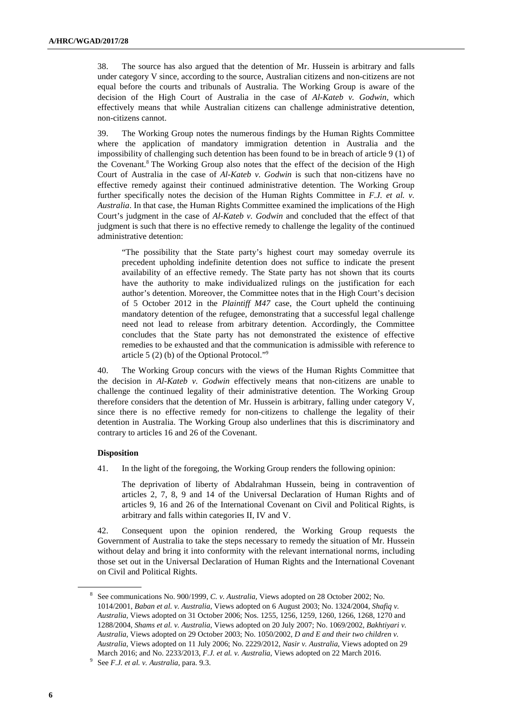38. The source has also argued that the detention of Mr. Hussein is arbitrary and falls under category V since, according to the source, Australian citizens and non-citizens are not equal before the courts and tribunals of Australia. The Working Group is aware of the decision of the High Court of Australia in the case of *Al-Kateb v. Godwin*, which effectively means that while Australian citizens can challenge administrative detention, non-citizens cannot.

39. The Working Group notes the numerous findings by the Human Rights Committee where the application of mandatory immigration detention in Australia and the impossibility of challenging such detention has been found to be in breach of article 9 (1) of the Covenant.<sup>8</sup> The Working Group also notes that the effect of the decision of the High Court of Australia in the case of *Al-Kateb v. Godwin* is such that non-citizens have no effective remedy against their continued administrative detention. The Working Group further specifically notes the decision of the Human Rights Committee in *F.J. et al. v. Australia*. In that case, the Human Rights Committee examined the implications of the High Court's judgment in the case of *Al-Kateb v. Godwin* and concluded that the effect of that judgment is such that there is no effective remedy to challenge the legality of the continued administrative detention:

"The possibility that the State party's highest court may someday overrule its precedent upholding indefinite detention does not suffice to indicate the present availability of an effective remedy. The State party has not shown that its courts have the authority to make individualized rulings on the justification for each author's detention. Moreover, the Committee notes that in the High Court's decision of 5 October 2012 in the *Plaintiff M47* case, the Court upheld the continuing mandatory detention of the refugee, demonstrating that a successful legal challenge need not lead to release from arbitrary detention. Accordingly, the Committee concludes that the State party has not demonstrated the existence of effective remedies to be exhausted and that the communication is admissible with reference to article 5 (2) (b) of the Optional Protocol."<sup>9</sup>

40. The Working Group concurs with the views of the Human Rights Committee that the decision in *Al-Kateb v. Godwin* effectively means that non-citizens are unable to challenge the continued legality of their administrative detention. The Working Group therefore considers that the detention of Mr. Hussein is arbitrary, falling under category V, since there is no effective remedy for non-citizens to challenge the legality of their detention in Australia. The Working Group also underlines that this is discriminatory and contrary to articles 16 and 26 of the Covenant.

#### **Disposition**

41. In the light of the foregoing, the Working Group renders the following opinion:

The deprivation of liberty of Abdalrahman Hussein, being in contravention of articles 2, 7, 8, 9 and 14 of the Universal Declaration of Human Rights and of articles 9, 16 and 26 of the International Covenant on Civil and Political Rights, is arbitrary and falls within categories II, IV and V.

42. Consequent upon the opinion rendered, the Working Group requests the Government of Australia to take the steps necessary to remedy the situation of Mr. Hussein without delay and bring it into conformity with the relevant international norms, including those set out in the Universal Declaration of Human Rights and the International Covenant on Civil and Political Rights.

 $\overline{a}$ 

<sup>8</sup> See communications No. 900/1999, *C. v. Australia*, Views adopted on 28 October 2002; No. 1014/2001, *Baban et al. v. Australia*, Views adopted on 6 August 2003; No. 1324/2004, *Shafiq v. Australia*, Views adopted on 31 October 2006; Nos. 1255, 1256, 1259, 1260, 1266, 1268, 1270 and 1288/2004, *Shams et al. v. Australia*, Views adopted on 20 July 2007; No. 1069/2002, *Bakhtiyari v. Australia*, Views adopted on 29 October 2003; No. 1050/2002, *D and E and their two children v. Australia*, Views adopted on 11 July 2006; No. 2229/2012, *Nasir v. Australia*, Views adopted on 29 March 2016; and No. 2233/2013, *F.J. et al. v. Australia*, Views adopted on 22 March 2016.

<sup>9</sup> See *F.J. et al. v. Australia*, para. 9.3.